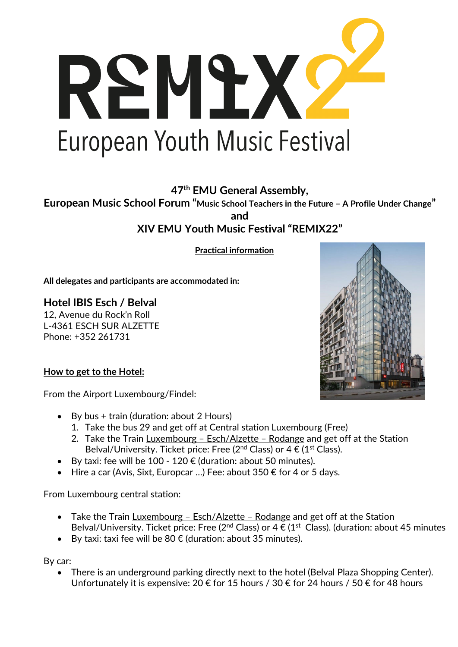

**47th EMU General Assembly,** 

**European Music School Forum "Music School Teachers in the Future – A Profile Under Change" and XIV EMU Youth Music Festival "REMIX22"**

**Practical information**

**All delegates and participants are accommodated in:**

**Hotel IBIS Esch / Belval** 12, Avenue du Rock'n Roll L-4361 ESCH SUR ALZETTE Phone: +352 261731

**How to get to the Hotel:**

From the Airport Luxembourg/Findel:

- By bus + train (duration: about 2 Hours)
	- 1. Take the bus 29 and get off at Central station Luxembourg (Free)
	- 2. Take the Train Luxembourg Esch/Alzette Rodange and get off at the Station Belval/University. Ticket price: Free (2<sup>nd</sup> Class) or  $4 \in (1^{st}$  Class).
- By taxi: fee will be 100 120  $\epsilon$  (duration: about 50 minutes).
- Hire a car (Avis, Sixt, Europcar ...) Fee: about 350  $\epsilon$  for 4 or 5 days.

From Luxembourg central station:

- Take the Train Luxembourg Esch/Alzette Rodange and get off at the Station Belval/University. Ticket price: Free (2<sup>nd</sup> Class) or 4  $\epsilon$  (1<sup>st</sup> Class). (duration: about 45 minutes
- By taxi: taxi fee will be  $80 \in (duration: about 35 minutes).$

By car:

There is an underground parking directly next to the hotel (Belval Plaza Shopping Center). Unfortunately it is expensive: 20 € for 15 hours / 30 € for 24 hours / 50 € for 48 hours